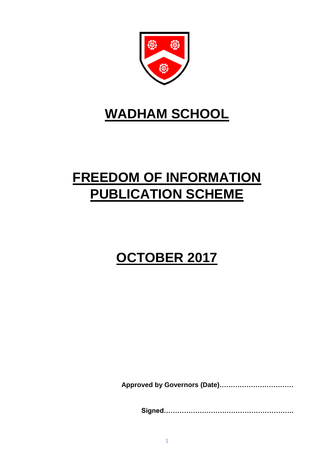

# **WADHAM SCHOOL**

# **FREEDOM OF INFORMATION PUBLICATION SCHEME**

# **OCTOBER 2017**

**Approved by Governors (Date)……………………………**

**Signed………………………………………………….**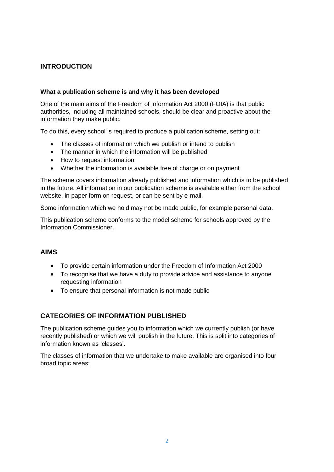# **INTRODUCTION**

#### **What a publication scheme is and why it has been developed**

One of the main aims of the Freedom of Information Act 2000 (FOIA) is that public authorities, including all maintained schools, should be clear and proactive about the information they make public.

To do this, every school is required to produce a publication scheme, setting out:

- The classes of information which we publish or intend to publish
- The manner in which the information will be published
- How to request information
- Whether the information is available free of charge or on payment

The scheme covers information already published and information which is to be published in the future. All information in our publication scheme is available either from the school website, in paper form on request, or can be sent by e-mail.

Some information which we hold may not be made public, for example personal data.

This publication scheme conforms to the model scheme for schools approved by the Information Commissioner.

### **AIMS**

- To provide certain information under the Freedom of Information Act 2000
- To recognise that we have a duty to provide advice and assistance to anyone requesting information
- To ensure that personal information is not made public

# **CATEGORIES OF INFORMATION PUBLISHED**

The publication scheme guides you to information which we currently publish (or have recently published) or which we will publish in the future. This is split into categories of information known as 'classes'.

The classes of information that we undertake to make available are organised into four broad topic areas: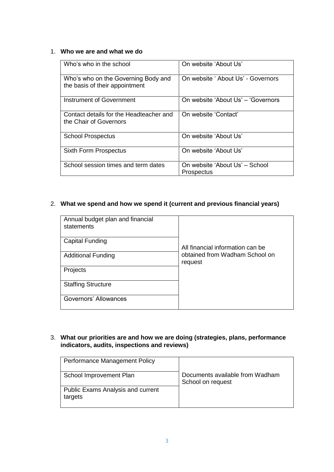#### 1. **Who we are and what we do**

| Who's who in the school                                               | On website 'About Us'                               |
|-----------------------------------------------------------------------|-----------------------------------------------------|
| Who's who on the Governing Body and<br>the basis of their appointment | On website 'About Us' - Governors                   |
| Instrument of Government                                              | On website 'About Us' - 'Governors'                 |
| Contact details for the Headteacher and<br>the Chair of Governors     | On website 'Contact'                                |
| <b>School Prospectus</b>                                              | On website 'About Us'                               |
| <b>Sixth Form Prospectus</b>                                          | On website 'About Us'                               |
| School session times and term dates                                   | On website 'About Us' – School<br><b>Prospectus</b> |

## 2. **What we spend and how we spend it (current and previous financial years)**

| Annual budget plan and financial<br>statements |                                           |
|------------------------------------------------|-------------------------------------------|
| <b>Capital Funding</b>                         | All financial information can be          |
| <b>Additional Funding</b>                      | obtained from Wadham School on<br>request |
| Projects                                       |                                           |
| <b>Staffing Structure</b>                      |                                           |
| Governors' Allowances                          |                                           |

#### 3. **What our priorities are and how we are doing (strategies, plans, performance indicators, audits, inspections and reviews)**

| Performance Management Policy                       |                                                      |
|-----------------------------------------------------|------------------------------------------------------|
| School Improvement Plan                             | Documents available from Wadham<br>School on request |
| <b>Public Exams Analysis and current</b><br>targets |                                                      |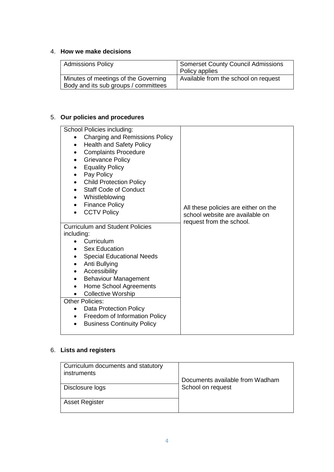#### 4. **How we make decisions**

| <b>Admissions Policy</b>                                                     | Somerset County Council Admissions<br>Policy applies |
|------------------------------------------------------------------------------|------------------------------------------------------|
| Minutes of meetings of the Governing<br>Body and its sub groups / committees | Available from the school on request                 |

# 5. **Our policies and procedures**

| School Policies including:<br>Charging and Remissions Policy<br><b>Health and Safety Policy</b><br><b>Complaints Procedure</b><br>$\bullet$<br><b>Grievance Policy</b><br><b>Equality Policy</b><br>Pay Policy<br>$\bullet$<br><b>Child Protection Policy</b><br>٠<br><b>Staff Code of Conduct</b><br>Whistleblowing<br>$\bullet$<br><b>Finance Policy</b><br>$\bullet$<br><b>CCTV Policy</b><br><b>Curriculum and Student Policies</b><br>including:<br>Curriculum<br><b>Sex Education</b><br><b>Special Educational Needs</b><br>Anti Bullying<br>Accessibility<br><b>Behaviour Management</b><br>٠<br>Home School Agreements<br>٠<br><b>Collective Worship</b><br><b>Other Policies:</b> | All these policies are either on the<br>school website are available on<br>request from the school. |
|---------------------------------------------------------------------------------------------------------------------------------------------------------------------------------------------------------------------------------------------------------------------------------------------------------------------------------------------------------------------------------------------------------------------------------------------------------------------------------------------------------------------------------------------------------------------------------------------------------------------------------------------------------------------------------------------|-----------------------------------------------------------------------------------------------------|
| <b>Data Protection Policy</b><br>Freedom of Information Policy<br>$\bullet$<br><b>Business Continuity Policy</b><br>$\bullet$                                                                                                                                                                                                                                                                                                                                                                                                                                                                                                                                                               |                                                                                                     |

# 6. **Lists and registers**

| Curriculum documents and statutory<br>instruments | Documents available from Wadham |
|---------------------------------------------------|---------------------------------|
| Disclosure logs                                   | School on request               |
| <b>Asset Register</b>                             |                                 |